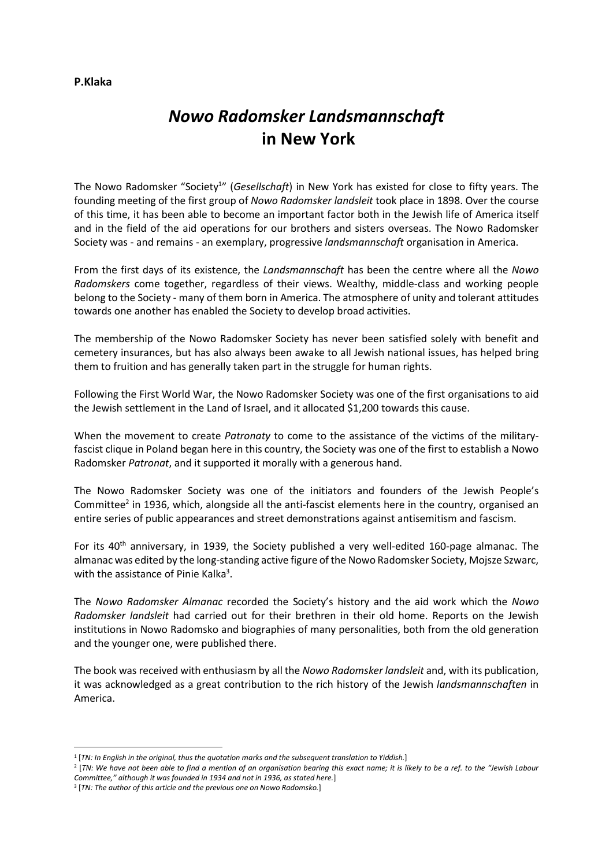# Nowo Radomsker Landsmannschaft in New York

The Nowo Radomsker "Society<sup>1</sup>" (Gesellschaft) in New York has existed for close to fifty years. The founding meeting of the first group of Nowo Radomsker landsleit took place in 1898. Over the course of this time, it has been able to become an important factor both in the Jewish life of America itself and in the field of the aid operations for our brothers and sisters overseas. The Nowo Radomsker Society was - and remains - an exemplary, progressive landsmannschaft organisation in America.

From the first days of its existence, the Landsmannschaft has been the centre where all the Nowo Radomskers come together, regardless of their views. Wealthy, middle-class and working people belong to the Society - many of them born in America. The atmosphere of unity and tolerant attitudes towards one another has enabled the Society to develop broad activities.

The membership of the Nowo Radomsker Society has never been satisfied solely with benefit and cemetery insurances, but has also always been awake to all Jewish national issues, has helped bring them to fruition and has generally taken part in the struggle for human rights.

Following the First World War, the Nowo Radomsker Society was one of the first organisations to aid the Jewish settlement in the Land of Israel, and it allocated \$1,200 towards this cause.

When the movement to create Patronaty to come to the assistance of the victims of the militaryfascist clique in Poland began here in this country, the Society was one of the first to establish a Nowo Radomsker Patronat, and it supported it morally with a generous hand.

The Nowo Radomsker Society was one of the initiators and founders of the Jewish People's Committee<sup>2</sup> in 1936, which, alongside all the anti-fascist elements here in the country, organised an entire series of public appearances and street demonstrations against antisemitism and fascism.

For its 40<sup>th</sup> anniversary, in 1939, the Society published a very well-edited 160-page almanac. The almanac was edited by the long-standing active figure of the Nowo Radomsker Society, Mojsze Szwarc, with the assistance of Pinie Kalka<sup>3</sup>.

The Nowo Radomsker Almanac recorded the Society's history and the aid work which the Nowo Radomsker landsleit had carried out for their brethren in their old home. Reports on the Jewish institutions in Nowo Radomsko and biographies of many personalities, both from the old generation and the younger one, were published there.

The book was received with enthusiasm by all the Nowo Radomsker landsleit and, with its publication, it was acknowledged as a great contribution to the rich history of the Jewish landsmannschaften in America.

## P.Klaka

<sup>&</sup>lt;sup>1</sup> [TN: In English in the original, thus the quotation marks and the subsequent translation to Yiddish.]

<sup>2</sup> [TN: We have not been able to find a mention of an organisation bearing this exact name; it is likely to be a ref. to the "Jewish Labour Committee," although it was founded in 1934 and not in 1936, as stated here.]

<sup>&</sup>lt;sup>3</sup> [TN: The author of this article and the previous one on Nowo Radomsko.]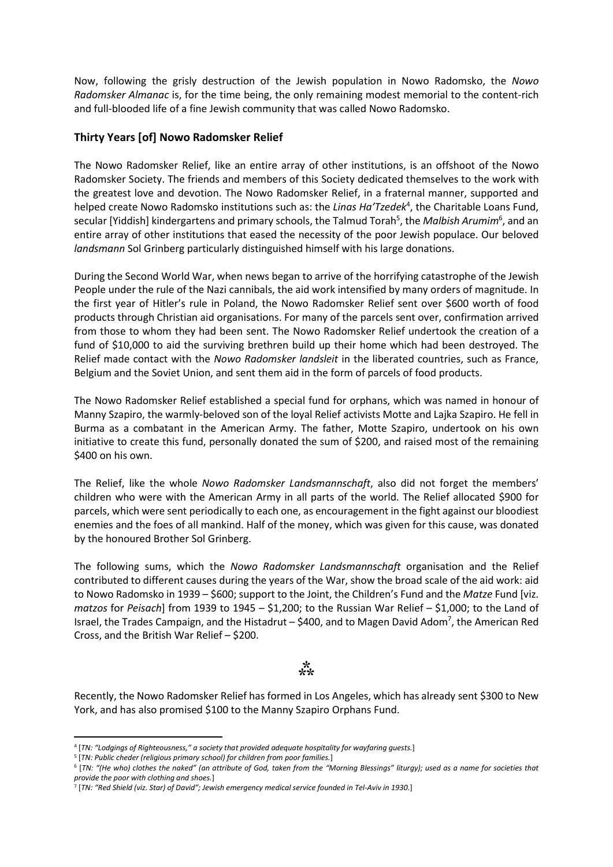Now, following the grisly destruction of the Jewish population in Nowo Radomsko, the Nowo Radomsker Almanac is, for the time being, the only remaining modest memorial to the content-rich and full-blooded life of a fine Jewish community that was called Nowo Radomsko.

## Thirty Years [of] Nowo Radomsker Relief

The Nowo Radomsker Relief, like an entire array of other institutions, is an offshoot of the Nowo Radomsker Society. The friends and members of this Society dedicated themselves to the work with the greatest love and devotion. The Nowo Radomsker Relief, in a fraternal manner, supported and helped create Nowo Radomsko institutions such as: the Linas Ha'Tzedek<sup>4</sup>, the Charitable Loans Fund, secular [Yiddish] kindergartens and primary schools, the Talmud Torah<sup>5</sup>, the Malbish Arumim<sup>6</sup>, and an entire array of other institutions that eased the necessity of the poor Jewish populace. Our beloved landsmann Sol Grinberg particularly distinguished himself with his large donations.

During the Second World War, when news began to arrive of the horrifying catastrophe of the Jewish People under the rule of the Nazi cannibals, the aid work intensified by many orders of magnitude. In the first year of Hitler's rule in Poland, the Nowo Radomsker Relief sent over \$600 worth of food products through Christian aid organisations. For many of the parcels sent over, confirmation arrived from those to whom they had been sent. The Nowo Radomsker Relief undertook the creation of a fund of \$10,000 to aid the surviving brethren build up their home which had been destroyed. The Relief made contact with the Nowo Radomsker landsleit in the liberated countries, such as France, Belgium and the Soviet Union, and sent them aid in the form of parcels of food products.

The Nowo Radomsker Relief established a special fund for orphans, which was named in honour of Manny Szapiro, the warmly-beloved son of the loyal Relief activists Motte and Lajka Szapiro. He fell in Burma as a combatant in the American Army. The father, Motte Szapiro, undertook on his own initiative to create this fund, personally donated the sum of \$200, and raised most of the remaining \$400 on his own.

The Relief, like the whole Nowo Radomsker Landsmannschaft, also did not forget the members' children who were with the American Army in all parts of the world. The Relief allocated \$900 for parcels, which were sent periodically to each one, as encouragement in the fight against our bloodiest enemies and the foes of all mankind. Half of the money, which was given for this cause, was donated by the honoured Brother Sol Grinberg.

The following sums, which the Nowo Radomsker Landsmannschaft organisation and the Relief contributed to different causes during the years of the War, show the broad scale of the aid work: aid to Nowo Radomsko in 1939 – \$600; support to the Joint, the Children's Fund and the Matze Fund [viz. matzos for Peisach] from 1939 to 1945 – \$1,200; to the Russian War Relief – \$1,000; to the Land of Israel, the Trades Campaign, and the Histadrut - \$400, and to Magen David Adom<sup>7</sup>, the American Red Cross, and the British War Relief – \$200.

## $\ddot{\dot{x}}$

Recently, the Nowo Radomsker Relief has formed in Los Angeles, which has already sent \$300 to New York, and has also promised \$100 to the Manny Szapiro Orphans Fund.

<sup>4</sup> [TN: "Lodgings of Righteousness," a society that provided adequate hospitality for wayfaring guests.]

<sup>&</sup>lt;sup>5</sup> [TN: Public cheder (religious primary school) for children from poor families.]

<sup>6</sup> [TN: "(He who) clothes the naked" (an attribute of God, taken from the "Morning Blessings" liturgy); used as a name for societies that provide the poor with clothing and shoes.]

<sup>7</sup> [TN: "Red Shield (viz. Star) of David"; Jewish emergency medical service founded in Tel-Aviv in 1930.]